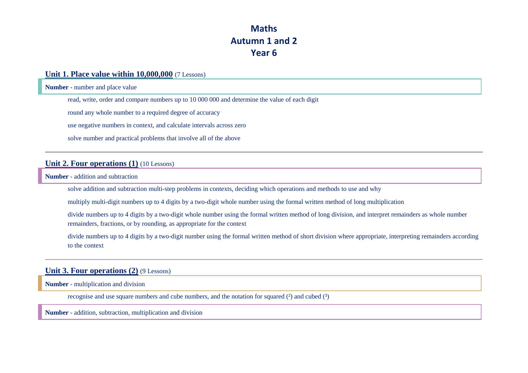## **Maths Autumn 1 and 2 Year 6**

### **Unit 1. Place value within 10,000,000** (7 Lessons)

**Number** - number and place value

read, write, order and compare numbers up to 10 000 000 and determine the value of each digit

round any whole number to a required degree of accuracy

use negative numbers in context, and calculate intervals across zero

solve number and practical problems that involve all of the above

### **Unit 2. Four operations (1)** (10 Lessons)

**Number** - addition and subtraction

solve addition and subtraction multi-step problems in contexts, deciding which operations and methods to use and why

multiply multi-digit numbers up to 4 digits by a two-digit whole number using the formal written method of long multiplication

divide numbers up to 4 digits by a two-digit whole number using the formal written method of long division, and interpret remainders as whole number remainders, fractions, or by rounding, as appropriate for the context

divide numbers up to 4 digits by a two-digit number using the formal written method of short division where appropriate, interpreting remainders according to the context

### **Unit 3. Four operations (2)** (9 Lessons)

**Number** - multiplication and division

recognise and use square numbers and cube numbers, and the notation for squared  $(2)$  and cubed  $(3)$ 

**Number** - addition, subtraction, multiplication and division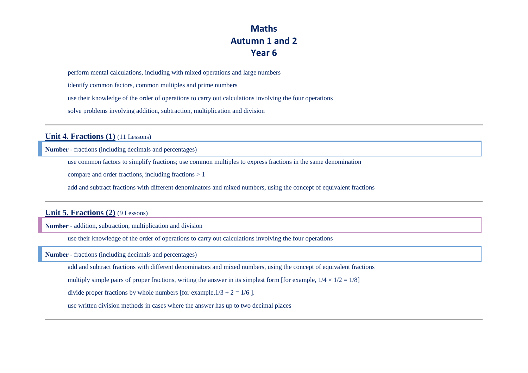## **Maths Autumn 1 and 2 Year 6**

perform mental calculations, including with mixed operations and large numbers

identify common factors, common multiples and prime numbers

use their knowledge of the order of operations to carry out calculations involving the four operations

solve problems involving addition, subtraction, multiplication and division

**Unit 4. Fractions (1)** (11 Lessons)

**Number** - fractions (including decimals and percentages)

use common factors to simplify fractions; use common multiples to express fractions in the same denomination

compare and order fractions, including fractions > 1

add and subtract fractions with different denominators and mixed numbers, using the concept of equivalent fractions

#### **Unit 5. Fractions (2)** (9 Lessons)

**Number** - addition, subtraction, multiplication and division

use their knowledge of the order of operations to carry out calculations involving the four operations

**Number** - fractions (including decimals and percentages)

add and subtract fractions with different denominators and mixed numbers, using the concept of equivalent fractions

multiply simple pairs of proper fractions, writing the answer in its simplest form [for example,  $1/4 \times 1/2 = 1/8$ ]

divide proper fractions by whole numbers [for example, $1/3 \div 2 = 1/6$  ].

use written division methods in cases where the answer has up to two decimal places